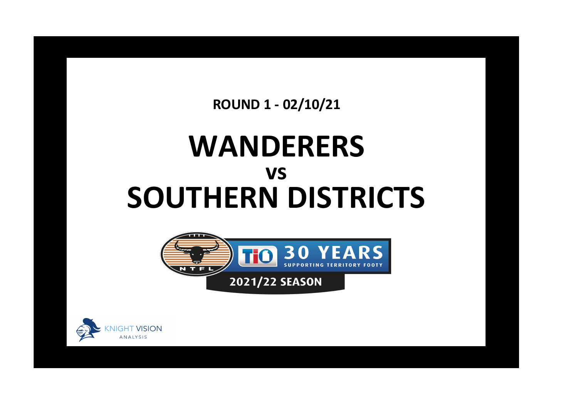**ROUND 1 - 02/10/21**

## **WANDERERS SOUTHERN DISTRICTS vs**



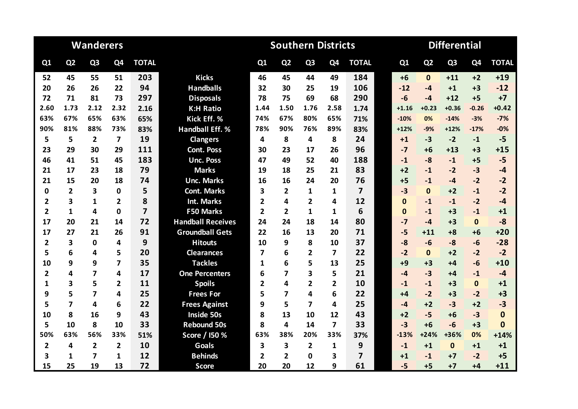|                |                         | <b>Wanderers</b>        |                |                |                          | <b>Differential</b>     |                         |                         |                |                         |              |                |                |                |              |
|----------------|-------------------------|-------------------------|----------------|----------------|--------------------------|-------------------------|-------------------------|-------------------------|----------------|-------------------------|--------------|----------------|----------------|----------------|--------------|
| Q1             | Q <sub>2</sub>          | Q <sub>3</sub>          | Q4             | <b>TOTAL</b>   |                          | Q1                      | Q <sub>2</sub>          | Q <sub>3</sub>          | Q <sub>4</sub> | <b>TOTAL</b>            | Q1           | Q <sub>2</sub> | Q <sub>3</sub> | Q <sub>4</sub> | <b>TOTAL</b> |
| 52             | 45                      | 55                      | 51             | 203            | <b>Kicks</b>             | 46                      | 45                      | 44                      | 49             | 184                     | $+6$         | $\Omega$       | $+11$          | $+2$           | $+19$        |
| 20             | 26                      | 26                      | 22             | 94             | <b>Handballs</b>         | 32                      | 30                      | 25                      | 19             | 106                     | $-12$        | $-4$           | $+1$           | $+3$           | $-12$        |
| 72             | 71                      | 81                      | 73             | 297            | <b>Disposals</b>         | 78                      | 75                      | 69                      | 68             | 290                     | $-6$         | $-4$           | $+12$          | $+5$           | $+7$         |
| 2.60           | 1.73                    | 2.12                    | 2.32           | 2.16           | <b>K:H Ratio</b>         | 1.44                    | 1.50                    | 1.76                    | 2.58           | 1.74                    | $+1.16$      | $+0.23$        | $+0.36$        | $-0.26$        | $+0.42$      |
| 63%            | 67%                     | 65%                     | 63%            | 65%            | Kick Eff. %              | 74%                     | 67%                     | 80%                     | 65%            | 71%                     | $-10%$       | 0%             | $-14%$         | $-3%$          | $-7%$        |
| 90%            | 81%                     | 88%                     | 73%            | 83%            | <b>Handball Eff. %</b>   | 78%                     | 90%                     | 76%                     | 89%            | 83%                     | $+12%$       | $-9%$          | $+12%$         | $-17%$         | $-0%$        |
| 5              | 5                       | $\overline{2}$          | 7              | 19             | <b>Clangers</b>          | 4                       | 8                       | 4                       | 8              | 24                      | $+1$         | $-3$           | $-2$           | $-1$           | $-5$         |
| 23             | 29                      | 30                      | 29             | 111            | <b>Cont. Poss</b>        | 30                      | 23                      | 17                      | 26             | 96                      | $-7$         | $+6$           | $+13$          | $+3$           | $+15$        |
| 46             | 41                      | 51                      | 45             | 183            | <b>Unc. Poss</b>         | 47                      | 49                      | 52                      | 40             | 188                     | $-1$         | $-8$           | $-1$           | $+5$           | $-5$         |
| 21             | 17                      | 23                      | 18             | 79             | <b>Marks</b>             | 19                      | 18                      | 25                      | 21             | 83                      | $+2$         | $-1$           | $-2$           | $-3$           | $-4$         |
| 21             | 15                      | 20                      | 18             | 74             | <b>Unc. Marks</b>        | 16                      | 16                      | 24                      | 20             | 76                      | $+5$         | $-1$           | $-4$           | $-2$           | $-2$         |
| 0              | $\overline{2}$          | $\overline{\mathbf{3}}$ | 0              | 5              | <b>Cont. Marks</b>       | 3                       | $\overline{2}$          | 1                       | 1              | $\overline{\mathbf{z}}$ | $-3$         | $\Omega$       | $+2$           | $-1$           | $-2$         |
| $\overline{2}$ | 3                       | $\mathbf{1}$            | $\overline{2}$ | 8              | <b>Int. Marks</b>        | 2                       | 4                       | $\overline{2}$          | 4              | 12                      | $\mathbf{0}$ | $-1$           | $-1$           | $-2$           | $-4$         |
| $\mathbf{2}$   | $\mathbf{1}$            | 4                       | 0              | $\overline{7}$ | <b>F50 Marks</b>         | $\overline{2}$          | $\overline{2}$          | $\mathbf{1}$            | 1              | 6                       | $\mathbf{0}$ | $-1$           | $+3$           | $-1$           | $+1$         |
| 17             | 20                      | 21                      | 14             | 72             | <b>Handball Receives</b> | 24                      | 24                      | 18                      | 14             | 80                      | $-7$         | $-4$           | $+3$           | $\mathbf{0}$   | $-8$         |
| 17             | 27                      | 21                      | 26             | 91             | <b>Groundball Gets</b>   | 22                      | 16                      | 13                      | 20             | 71                      | $-5$         | $+11$          | $+8$           | $+6$           | $+20$        |
| $\overline{2}$ | 3                       | $\mathbf 0$             | 4              | 9              | <b>Hitouts</b>           | 10                      | 9                       | 8                       | 10             | 37                      | $-8$         | $-6$           | $-8$           | $-6$           | $-28$        |
| 5              | 6                       | 4                       | 5              | 20             | <b>Clearances</b>        | $\overline{\mathbf{z}}$ | 6                       | $\overline{2}$          | 7              | 22                      | $-2$         | $\Omega$       | $+2$           | $-2$           | $-2$         |
| 10             | 9                       | 9                       | 7              | 35             | <b>Tackles</b>           | 1                       | 6                       | 5                       | 13             | 25                      | $+9$         | $+3$           | $+4$           | $-6$           | $+10$        |
| $\overline{2}$ | 4                       | 7                       | 4              | 17             | <b>One Percenters</b>    | 6                       | 7                       | 3                       | 5              | 21                      | $-4$         | $-3$           | +4             | $-1$           | $-4$         |
| 1              | 3                       | 5                       | $\overline{2}$ | 11             | <b>Spoils</b>            | $\overline{2}$          | 4                       | $\overline{\mathbf{2}}$ | $\overline{2}$ | 10                      | $-1$         | $-1$           | $+3$           | $\mathbf{0}$   | $+1$         |
| 9              | 5                       | $\overline{ }$          | 4              | 25             | <b>Frees For</b>         | 5                       | $\overline{\mathbf{z}}$ | 4                       | 6              | 22                      | $+4$         | $-2$           | $+3$           | $-2$           | $+3$         |
| 5              | $\overline{\mathbf{z}}$ | 4                       | 6              | 22             | <b>Frees Against</b>     | 9                       | 5                       | $\overline{\mathbf{z}}$ | 4              | 25                      | $-4$         | $+2$           | $-3$           | $+2$           | $-3$         |
| 10             | 8                       | 16                      | 9              | 43             | <b>Inside 50s</b>        | 8                       | 13                      | 10                      | 12             | 43                      | $+2$         | $-5$           | $+6$           | $-3$           | $\mathbf{0}$ |
| 5              | 10                      | 8                       | 10             | 33             | <b>Rebound 50s</b>       | 8                       | 4                       | 14                      | $\overline{7}$ | 33                      | $-3$         | $+6$           | $-6$           | $+3$           | $\mathbf{0}$ |
| 50%            | 63%                     | 56%                     | 33%            | 51%            | Score / I50 %            | 63%                     | 38%                     | 20%                     | 33%            | 37%                     | $-13%$       | $+24%$         | +36%           | 0%             | $+14%$       |
| $\overline{2}$ | 4                       | $\overline{2}$          | $\overline{2}$ | 10             | Goals                    | 3                       | 3                       | $\overline{\mathbf{2}}$ | $\mathbf 1$    | 9                       | $-1$         | $+1$           | $\mathbf{0}$   | $+1$           | $+1$         |
| 3              | 1                       | 7                       | 1              | 12             | <b>Behinds</b>           | 2                       | $\overline{2}$          | 0                       | 3              | $\overline{\mathbf{z}}$ | $+1$         | $-1$           | $+7$           | $-2$           | $+5$         |
| 15             | 25                      | 19                      | 13             | 72             | <b>Score</b>             | 20                      | 20                      | 12                      | 9              | 61                      | $-5$         | $+5$           | $+7$           | $+4$           | $+11$        |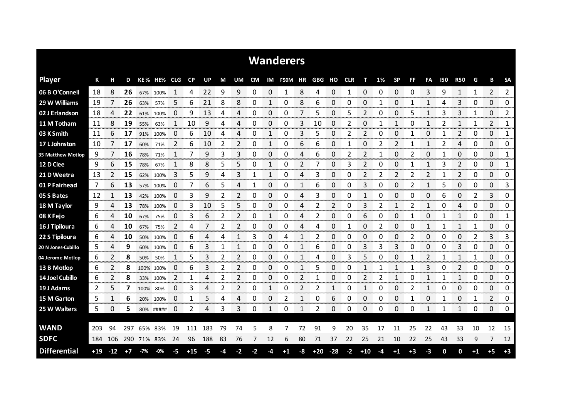|                     |       |              |      |             |           |              |             |           |      |                |           |                       | <b>Wanderers</b> |                |       |             |            |                  |      |           |      |              |            |                |      |                |             |
|---------------------|-------|--------------|------|-------------|-----------|--------------|-------------|-----------|------|----------------|-----------|-----------------------|------------------|----------------|-------|-------------|------------|------------------|------|-----------|------|--------------|------------|----------------|------|----------------|-------------|
| <b>Player</b>       | К     | н            | D    |             | KE% HE%   | CLG          | <b>CP</b>   | <b>UP</b> | М    | UM.            | <b>CM</b> | IM                    | <b>F50M</b>      | ΗR             | GBG   | но          | <b>CLR</b> | т                | 1%   | <b>SP</b> | FF   | FA           | <b>150</b> | <b>R50</b>     | G    | B              | <b>SA</b>   |
| 06 B O'Connell      | 18    | 8            | 26   |             | 67% 100%  | 1            | 4           | 22        | 9    | 9              | 0         | $\Omega$              | 1                | 8              | 4     | 0           | 1          | 0                | 0    | 0         | 0    | 3            | 9          | $\mathbf{1}$   | 1    | 2              | 2           |
| 29 W Williams       | 19    | 7            | 26   | 63%         | 57%       | 5            | 6           | 21        | 8    | 8              | 0         | 1                     | 0                | 8              | 6     | 0           | 0          | 0                |      | 0         | 1    | 1            | 4          | 3              | 0    | 0              | 0           |
| 02 J Erlandson      | 18    | 4            | 22   | 61%         | 100%      | 0            | 9           | 13        | 4    | 4              | 0         | 0                     | 0                | 7              | 5     | 0           | 5          | 2                | 0    | 0         | 5    | 1            | 3          | 3              | 1    | 0              | 2           |
| 11 M Totham         | 11    | 8            | 19   | 55%         | 63%       | $\mathbf{1}$ | 10          | 9         | 4    | 4              | 0         | 0                     | 0                | 3              | 10    | 0           | 2          | 0                | 1    | 1         | 0    | $\mathbf{1}$ | 2          | $\mathbf{1}$   | 1    | $\overline{2}$ | 1           |
| 03 K Smith          | 11    | 6            | 17   | 91%         | 100%      | 0            | 6           | 10        | 4    | Δ              | 0         | 1                     | 0                | 3              | 5     | 0           | 2          | $\overline{2}$   | 0    | 0         | 1    | 0            |            | 2              | 0    | 0              | 1           |
| 17 L Johnston       | 10    | 7            | 17   | 60%         | 71%       | 2            | 6           | 10        | 2    | 2              | 0         | 1                     | 0                | 6              | 6     | 0           |            | 0                | 2    | 2         |      | 1            | 2          | 4              | 0    | 0              | 0           |
| 35 Matthew Motlop   | 9     | 7            | 16   | 78%         | 71%       | 1            |             | 9         | 3    | 3              | 0         | 0                     | 0                | 4              | 6     | 0           | 2          | 2                |      | 0         | 2    | 0            |            | 0              | 0    | 0              | 1           |
| 12 D Clee           | 9     | 6            | 15   | 78%         | 67%       | 1            | 8           | 8         | 5    | 5              | 0         | 1                     | 0                | $\overline{2}$ | 7     | $\Omega$    | 3          | 2                | 0    | 0         | 1    | $\mathbf{1}$ | 3          | $\overline{2}$ | 0    | 0              | 1           |
| 21 D Weetra         | 13    | 2            | 15   | 62%         | 100%      | 3            | 5           | 9         | 4    | 3              | 1         | 1                     | 0                | 4              | 3     | 0           | 0          | 2                | 2    | 2         | 2    | 2            | 1          | 2              | 0    | 0              | 0           |
| 01 P Fairhead       | 7     | 6            | 13   | 57%         | 100%      | 0            | 7           | 6         | 5    | 4              | 1         | 0                     | 0                | 1              | 6     | 0           | 0          | 3                | 0    | 0         | 2    | 1            | 5          | 0              | 0    | $\overline{0}$ | 3           |
| 05 S Bates          | 12    | 1            | 13   | 42%         | 100%      | 0            | 3           | 9         | 2    | 2              | 0         | 0                     | 0                | 4              | 3     | 0           | 0          |                  | 0    | 0         | 0    | 0            | 6          | 0              | 2    | 3              | 0           |
| 18 M Taylor         | 9     | 4            | 13   | 78%         | 100%      | 0            | 3           | 10        | 5    | 5              | 0         | 0                     | 0                | 4              | 2     | 2           | 0          | 3                | 2    | 1         | 2    | $\mathbf{1}$ | 0          | 4              | 0    | 0              | 0           |
| 08 K Fejo           | 6     | 4            | 10   | 67%         | 75%       | 0            | 3           | 6         | 2    | 2              | 0         | $\mathbf{1}$          | 0                | 4              | 2     | 0           | 0          | 6                | 0    | 0         | 1    | 0            |            | 1              | 0    | 0              | 1           |
| 16 J Tipiloura      | 6     | 4            | 10   | 67%         | 75%       | 2            | 4           |           | 2    | 2              | 0         | 0                     | 0                | 4              | 4     | 0           |            | 0                | 2    | 0         | 0    | 1            |            | $\mathbf{1}$   | 1    | 0              | 0           |
| 22 S Tipiloura      | 6     | 4            | 10   | 50%         | 100%      | 0            | 6           | 4         | 4    | $\mathbf{1}$   | 3         | 0                     | 4                | 1              | 2     | 0           | 0          | 0                | 0    | 0         | 2    | 0            | 0          | 0              | 2    | 3              | 3           |
| 20 N Jones-Cubillo  | 5     | 4            | 9    |             | 60% 100%  | 0            | 6           | 3         | 1    | $\mathbf{1}$   | 0         | 0                     | 0                | 1              | 6     | 0           | 0          | 3                | 3    | 3         | 0    | 0            | 0          | 3              | 0    | 0              | 0           |
| 04 Jerome Motlop    | 6     | 2            | 8    | 50%         | 50%       | 1            | 5           | 3         | 2    | 2              | 0         | 0                     | 0                | 1              | 4     | 0           | 3          | 5                | 0    | 0         | 1    | 2            |            | $\mathbf{1}$   | 1    | 0              | 0           |
| 13 B Motlop         | 6     | $\mathbf{2}$ | 8    |             | 100% 100% | 0            | 6           |           | 2    | 2              | 0         | 0                     | 0                | 1              | 5     | 0           | 0          |                  |      | 1         |      | 3            | 0          | 2              | 0    | 0              | 0           |
| 14 Joel Cubillo     | 6     | 2            | 8    |             | 33% 100%  | 2            | 1           | 4         | 2    | $\overline{2}$ | 0         | 0                     | 0                | 2              | 1     | 0           | 0          | 2                | 2    | 1         | 0    | 1            | 1          | 1              | 0    | 0              | 0           |
| 19 J Adams          | 2     | 5.           | 7    | 100%        | 80%       | 0            | 3<br>n mana | 4         | 2    | 2              | 0         | $\mathbf{1}$<br>----- | 0                | 2              | 2     | 1<br>manan. | 0          | 1<br><b>DOM:</b> | 0    | 0         | 2    | 1            | 0          | 0              | 0    | 0<br>manan a   | 0<br>omonom |
| 15 M Garton         | 5     | 1            | 6    | 20%         | 100%      | 0            | 1           | 5         | 4    | 4              | 0         | 0                     | 2                | 1              | 0     | 6           | 0          | 0                | 0    | 0         | 1    | 0            | 1          | 0              | 1    | 2              | 0           |
| 25 W Walters        | 5     | 0            | 5    |             | 80% ##### | 0            | 2           | 4         | 3    | 3              | 0         | 1                     | 0                | 1              | 2     | 0           | 0          | 0                | 0    | 0         | 0    | 1            |            | 1              | 0    | 0              | 0           |
|                     |       |              |      |             |           |              |             |           |      |                |           |                       |                  |                |       |             |            |                  |      |           |      |              |            |                |      |                |             |
| <b>WAND</b>         | -203  | 94           | 297  |             | 65% 83%   | 19           | 111         | 183       | 79   | 74             | 5         | 8                     |                  | 72             | 91    | 9           | 20         | 35               | 17   | 11        | 25   | 22           | 43         | 33             | 10   | 12             | 15          |
| <b>SDFC</b>         | 184   | 106          |      | 290 71% 83% |           | 24           | 96          | 188       | 83   | 76             | 7         | 12                    | 6                | 80             | 71    | 37          | 22         | 25               | 21   | 10        | 22   | 25           | 43         | 33             | 9    | 7              | 12          |
| <b>Differential</b> | $+19$ | $-12$        | $+7$ | $-7%$       | $-0%$     | -5           | $+15$       | $-5$      | $-4$ | $-2$           | -2        | -4                    | $+1$             | -8             | $+20$ | $-28$       | $-2$       | $+10$            | $-4$ | $+1$      | $+3$ | $-3$         | 0          | $\mathbf 0$    | $+1$ | $+5$           | $+3$        |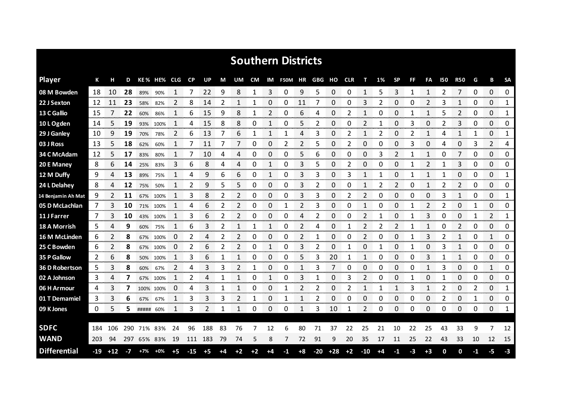|                     |     |       |      |           |             |              |       |         |      |                |      |    | <b>Southern Districts</b> |      |     |           |            |                |    |           |              |              |              |              |                |                |              |
|---------------------|-----|-------|------|-----------|-------------|--------------|-------|---------|------|----------------|------|----|---------------------------|------|-----|-----------|------------|----------------|----|-----------|--------------|--------------|--------------|--------------|----------------|----------------|--------------|
| <b>Player</b>       | К   |       | D    |           | KE% HE% CLG |              | CP    | UP      | М    | UM             | CM   |    | IM F50M HR                |      | GBG | но        | <b>CLR</b> | т              | 1% | <b>SP</b> | FF           | FA           | 150          | <b>R50</b>   | G              | в              | <b>SA</b>    |
| 08 M Bowden         | 18  | 10    | 28   | 89%       | 90%         | 1            |       | 22      | 9    | 8              | 1    | 3  | 0                         | 9    | 5   | 0         | 0          | 1              | 5  | 3         | 1            | $\mathbf{1}$ | 2            | 7            | 0              | 0              | 0            |
| 22 J Sexton         | 12  | 11    | 23   | 58%       | 82%         | 2            | 8     | 14      | 2    | 1              | 1    | 0  | 0                         | 11   | 7   | 0         | 0          | 3              | 2  | 0         | 0            | 2            | 3            | 1            | 0              | 0              | 1            |
| 13 C Gallio         | 15  |       | 22   | 60%       | 86%         | 1            | 6     | 15      | 9    | 8              | 1    | 2  | 0                         | 6    | 4   | 0         | 2          | 1              | 0  | 0         | 1            | 1            | 5            | 2            | 0              | 0              | 1            |
| 10 L Ogden          | 14  | 5     | 19   | 93%       | 100%        | 1            | 4     | 15      | 8    | 8              | 0    | 1  | 0                         | 5    | 2   | 0         | 0          | 2              | 1  | 0         | 3            | 0            | 2            | 3            | 0              | 0              | 0            |
| 29 J Ganley         | 10  | 9     | 19   | 70%       | 78%         | 2            | 6     | 13      | 7    | 6              | 1    | 1  | 1                         | 4    | 3   | 0         | 2          | 1              | 2  | 0         | 2            | $\mathbf{1}$ | 4            | $\mathbf{1}$ | 1              | 0              | 1            |
| 03 J Ross           | 13  | 5.    | 18   | 62%       | 60%         | $\mathbf{1}$ | 7     | 11      | 7    | 7              | 0    | 0  | 2                         | 2    | 5   | 0         | 2          | 0              | 0  | 0         | 3            | 0            | 4            | 0            | 3              | 2              | 4            |
| 34 C McAdam         | 12  | 5     | 17   | 83%       | 80%         | 1            | 7     | 10      | 4    | 4              | 0    | 0  | 0                         | 5    | 6   | 0         | 0          | 0              | 3  | 2         | 1            | 1            | 0            | 7            | 0              | 0              | 0            |
| 20 E Maney          | 8   | 6     | 14   | 25%       | 83%         | 3            | 6     | 8       | 4    | 4              | 0    | 1  | 0                         | 3    | 5   | 0         | 2          | 0              | 0  | 0         | 1            | 2            | $\mathbf{1}$ | 3            | 0              | 0              | 0            |
| 12 M Duffy          | 9   | 4     | 13   | 89%       | 75%         | 1            | 4     | 9       | 6    | 6              | 0    | 1  | 0                         | 3    | 3   | 0         | 3          | 1              | 1  | 0         | 1            | $\mathbf{1}$ | 1            | 0            | 0              | 0              | 1            |
| 24 L Delahey        | 8   | 4     | 12   | 75%       | 50%         | 1            | 2     | 9       | 5    | 5              | 0    | 0  | 0                         | 3    | 2   | 0         | 0          | 1              | 2  | 2         | 0            | $\mathbf{1}$ | 2            | 2            | 0              | 0              | 0            |
| 14 Benjamin Ah Mat  | 9   |       | 11   | 67%       | 100%        |              | 3     | 8       | 2    | 2              | 0    | 0  | 0                         | 3    | 3   | 0         | 2          | 2              | 0  | 0         | 0            | 0            | 3            | 1            | 0              | 0              | 1            |
| 05 D McLachlan      | 7   | 3     | 10   | 71%       | 100%        | $\mathbf{1}$ | 4     | 6       | 2    | 2              | 0    | 0  | 1                         | 2    | 3   | 0         | 0          | 1              | 0  | 0         | 1            | 2            | 2            | 0            | 1              | 0              | 0            |
| 11 J Farrer         | 7   | 3     | 10   |           | 43% 100%    | 1            | 3     | 6       | 2    | $\overline{2}$ | 0    | 0  | 0                         | 4    | 2   | 0         | 0          | 2              |    | 0         | $\mathbf{1}$ | 3            | 0            | 0            | 1              | $\overline{2}$ | $\mathbf{1}$ |
| 18 A Morrish        | 5   | 4     | 9    | 60%       | 75%         | 1            | 6     | 3       | 2    | 1              |      | 1  | 0                         | 2    | 4   | 0         |            | $\mathfrak{p}$ | 2  | 2         | $\mathbf{1}$ | $\mathbf{1}$ | 0            | 2            | 0              | 0              | 0            |
| 16 M McLinden       | 6   |       | 8    | 67%       | 100%        | 0            | 2     |         | 2    |                | Ω    | 0  | 0                         | 2    |     | 0         | 0          |                |    | O         |              | 3            | ∕            |              | 0              |                | 0            |
| 25 C Bowden         | 6   |       | 8    | 67%       | 100%        | 0            | 2     | 6       | 2    |                | Ω    | 1  | 0                         | 3    | 2   | 0         |            | 0              |    | O         |              | 0            | З            |              | 0              | 0              | 0<br>mmmm    |
| 35 P Gallow         | 2   | 6     | 8    | 50%       | 100%        |              | 3     | 6       |      |                | 0    | 0  | 0                         | 5    | 3   | 20        |            |                | 0  | 0         | 0            | 3            |              |              | 0              | 0              | 0            |
| 36 D Robertson      | 5   | 3     | 8    | 60%       | 67%         | 2            | 4     | 3       | 3    |                |      | 0  | 0                         |      | 3   | 7         | Ω          | 0              | 0  | 0         | 0            | 1            | 3            | 0            | 0              | 1              | 0            |
| 02 A Johnson        | 3   | 4     | 7    |           | 67% 100%    |              | 2     | Δ       |      |                | 0    |    | 0                         | 3    |     | 0         | 3          | 2              | 0  | 0         |              | 0            |              | 0            | 0              | 0              | 0            |
| 06 H Armour         | 4   | 3     | 7    |           | 100% 100%   | 0            | 4     | 3       | 1    | 1              | 0    | 0  | 1                         | 2    | 2   | 0         | 2          | 1              |    |           | 3            | 1            | 2            | 0            | $\overline{2}$ | 0              | 1<br>omono e |
| 01 T Demamiel       | 3   | 3     | 6    | 67%       | 67%         |              | 3     | 3       | 3    |                |      | 0  | 1                         |      | 2   | 0         | 0          | O              | 0  | 0         | 0            | 0            | 2            | 0            |                | 0              | 0            |
| 09 K Jones          | 0   | 5     | 5.   | ##### 60% |             | 1            | 3     | 2       |      | 1              | 0    | 0  | 0                         | 1    | 3   | 10        | 1          | 2              | 0  | 0         | 0            | 0            | 0            | 0            | 0              | 0              | 1            |
| <b>SDFC</b>         | 184 | 106   | 290  | 71%       | 83%         | 24           | 96    | 188     | 83   | 76             | 7    | 12 | 6                         | 80   |     | 37        | 22         | 25             | 21 | 10        | 22           | 25           | 43           | 33           | 9              | 7              | 12           |
| <b>WAND</b>         | 203 | 94    | 297  |           | 65% 83%     | 19           |       | 111 183 | 79   | 74             | 5    | 8  | 7                         | 72   | 91  | 9         | 20         | 35             | 17 | 11        | 25           | 22           | 43           | 33           | 10             | 12             | 15           |
| <b>Differential</b> | -19 | $+12$ | $-7$ | $+7%$     | $+0\%$      | $+5$         | $-15$ | $+5$    | $+4$ | $+2$           | $+2$ | +4 | -1                        | $+8$ |     | $-20 +28$ | $+2$       | $-10$          | +4 | -1        | -3           | $+3$         | 0            | 0            | -1             | -5             | -3           |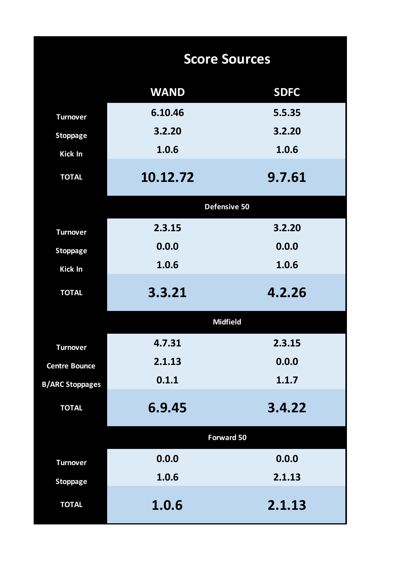|                        | <b>Score Sources</b> |             |  |  |  |  |  |
|------------------------|----------------------|-------------|--|--|--|--|--|
|                        | <b>WAND</b>          | <b>SDFC</b> |  |  |  |  |  |
| <b>Turnover</b>        | 6.10.46              | 5.5.35      |  |  |  |  |  |
| <b>Stoppage</b>        | 3.2.20               | 3.2.20      |  |  |  |  |  |
| Kick In                | 1.0.6                | 1.0.6       |  |  |  |  |  |
| <b>TOTAL</b>           | 10.12.72             | 9.7.61      |  |  |  |  |  |
|                        | Defensive 50         |             |  |  |  |  |  |
| <b>Turnover</b>        | 2.3.15               | 3.2.20      |  |  |  |  |  |
| <b>Stoppage</b>        | 0.0.0                | 0.0.0       |  |  |  |  |  |
| <b>Kick In</b>         | 1.0.6                | 1.0.6       |  |  |  |  |  |
| <b>TOTAL</b>           | 3.3.21               | 4.2.26      |  |  |  |  |  |
|                        | <b>Midfield</b>      |             |  |  |  |  |  |
| <b>Turnover</b>        | 4.7.31               | 2.3.15      |  |  |  |  |  |
| <b>Centre Bounce</b>   | 2.1.13               | 0.0.0       |  |  |  |  |  |
| <b>B/ARC Stoppages</b> | 0.1.1                | 1.1.7       |  |  |  |  |  |
| <b>TOTAL</b>           | 6.9.45               | 3.4.22      |  |  |  |  |  |
|                        | <b>Forward 50</b>    |             |  |  |  |  |  |
| <b>Turnover</b>        | 0.0.0                | 0.0.0       |  |  |  |  |  |
| <b>Stoppage</b>        | 1.0.6                | 2.1.13      |  |  |  |  |  |
| <b>TOTAL</b>           | 1.0.6                | 2.1.13      |  |  |  |  |  |